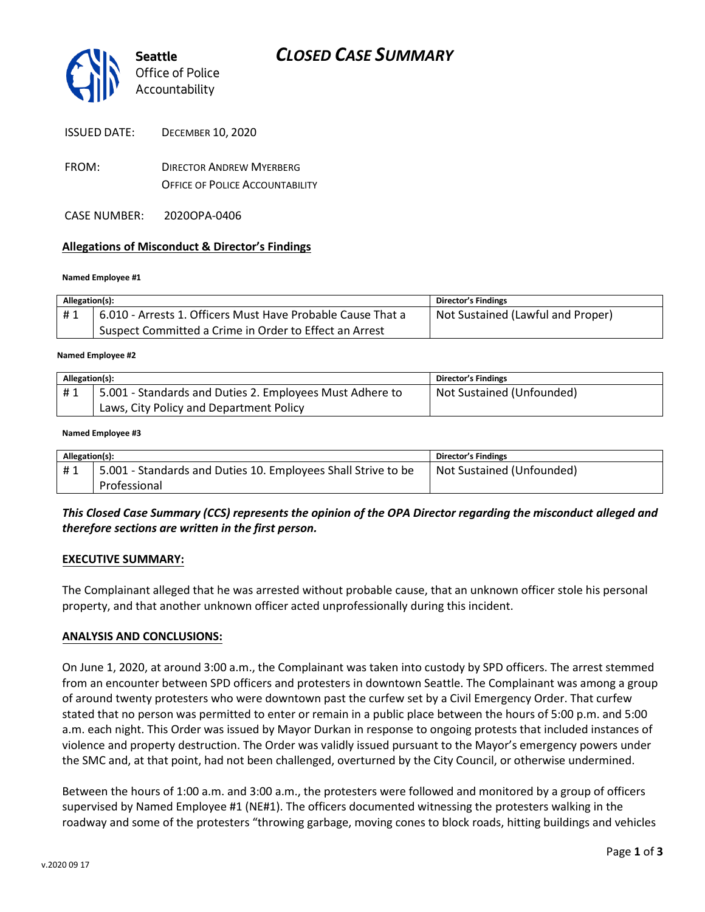

| <b>ISSUED DATE:</b> | <b>DECEMBER 10, 2020</b> |
|---------------------|--------------------------|
|---------------------|--------------------------|

- FROM: DIRECTOR ANDREW MYERBERG OFFICE OF POLICE ACCOUNTABILITY
- CASE NUMBER: 2020OPA-0406

## **Allegations of Misconduct & Director's Findings**

### **Named Employee #1**

| Allegation(s): |                                                             | Director's Findings               |
|----------------|-------------------------------------------------------------|-----------------------------------|
| #1             | 6.010 - Arrests 1. Officers Must Have Probable Cause That a | Not Sustained (Lawful and Proper) |
|                | Suspect Committed a Crime in Order to Effect an Arrest      |                                   |

#### **Named Employee #2**

| Allegation(s): |                                                          | Director's Findings       |
|----------------|----------------------------------------------------------|---------------------------|
| #1             | 5.001 - Standards and Duties 2. Employees Must Adhere to | Not Sustained (Unfounded) |
|                | Laws, City Policy and Department Policy                  |                           |

### **Named Employee #3**

| Allegation(s): |                                                               | <b>Director's Findings</b> |
|----------------|---------------------------------------------------------------|----------------------------|
| #1             | 5.001 - Standards and Duties 10. Employees Shall Strive to be | Not Sustained (Unfounded)  |
|                | Professional                                                  |                            |

## *This Closed Case Summary (CCS) represents the opinion of the OPA Director regarding the misconduct alleged and therefore sections are written in the first person.*

### **EXECUTIVE SUMMARY:**

The Complainant alleged that he was arrested without probable cause, that an unknown officer stole his personal property, and that another unknown officer acted unprofessionally during this incident.

### **ANALYSIS AND CONCLUSIONS:**

On June 1, 2020, at around 3:00 a.m., the Complainant was taken into custody by SPD officers. The arrest stemmed from an encounter between SPD officers and protesters in downtown Seattle. The Complainant was among a group of around twenty protesters who were downtown past the curfew set by a Civil Emergency Order. That curfew stated that no person was permitted to enter or remain in a public place between the hours of 5:00 p.m. and 5:00 a.m. each night. This Order was issued by Mayor Durkan in response to ongoing protests that included instances of violence and property destruction. The Order was validly issued pursuant to the Mayor's emergency powers under the SMC and, at that point, had not been challenged, overturned by the City Council, or otherwise undermined.

Between the hours of 1:00 a.m. and 3:00 a.m., the protesters were followed and monitored by a group of officers supervised by Named Employee #1 (NE#1). The officers documented witnessing the protesters walking in the roadway and some of the protesters "throwing garbage, moving cones to block roads, hitting buildings and vehicles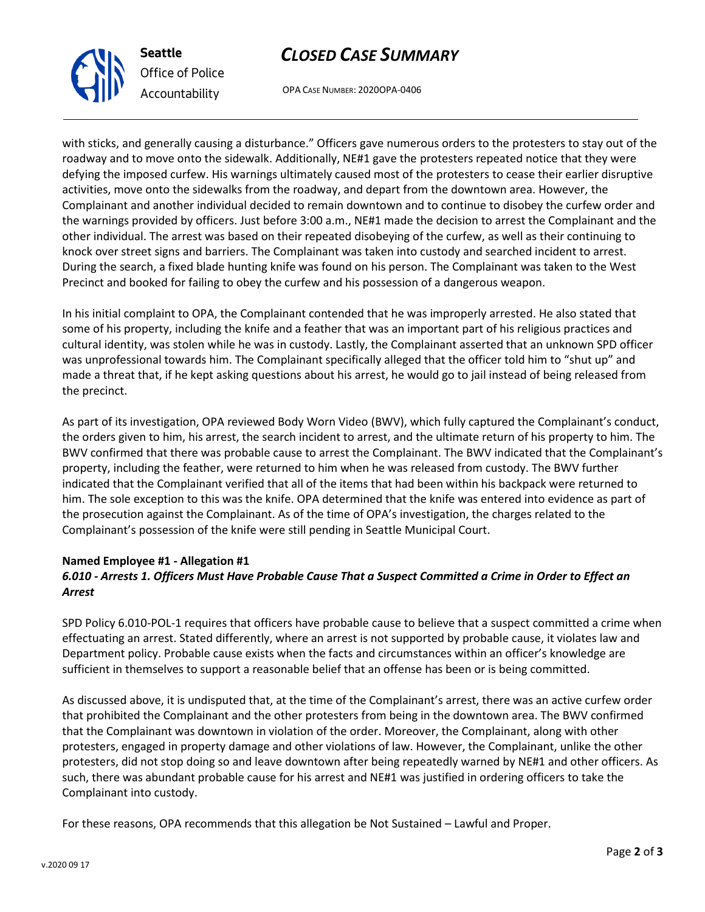# v.2020 09 17

**Seattle** *Office of Police Accountability*

# *CLOSED CASE SUMMARY*

OPA CASE NUMBER: 2020OPA-0406

with sticks, and generally causing a disturbance." Officers gave numerous orders to the protesters to stay out of the roadway and to move onto the sidewalk. Additionally, NE#1 gave the protesters repeated notice that they were defying the imposed curfew. His warnings ultimately caused most of the protesters to cease their earlier disruptive activities, move onto the sidewalks from the roadway, and depart from the downtown area. However, the Complainant and another individual decided to remain downtown and to continue to disobey the curfew order and the warnings provided by officers. Just before 3:00 a.m., NE#1 made the decision to arrest the Complainant and the other individual. The arrest was based on their repeated disobeying of the curfew, as well as their continuing to knock over street signs and barriers. The Complainant was taken into custody and searched incident to arrest. During the search, a fixed blade hunting knife was found on his person. The Complainant was taken to the West Precinct and booked for failing to obey the curfew and his possession of a dangerous weapon.

In his initial complaint to OPA, the Complainant contended that he was improperly arrested. He also stated that some of his property, including the knife and a feather that was an important part of his religious practices and cultural identity, was stolen while he was in custody. Lastly, the Complainant asserted that an unknown SPD officer was unprofessional towards him. The Complainant specifically alleged that the officer told him to "shut up" and made a threat that, if he kept asking questions about his arrest, he would go to jail instead of being released from the precinct.

As part of its investigation, OPA reviewed Body Worn Video (BWV), which fully captured the Complainant's conduct, the orders given to him, his arrest, the search incident to arrest, and the ultimate return of his property to him. The BWV confirmed that there was probable cause to arrest the Complainant. The BWV indicated that the Complainant's property, including the feather, were returned to him when he was released from custody. The BWV further indicated that the Complainant verified that all of the items that had been within his backpack were returned to him. The sole exception to this was the knife. OPA determined that the knife was entered into evidence as part of the prosecution against the Complainant. As of the time of OPA's investigation, the charges related to the Complainant's possession of the knife were still pending in Seattle Municipal Court.

# **Named Employee #1 - Allegation #1** *6.010 - Arrests 1. Officers Must Have Probable Cause That a Suspect Committed a Crime in Order to Effect an Arrest*

SPD Policy 6.010-POL-1 requires that officers have probable cause to believe that a suspect committed a crime when effectuating an arrest. Stated differently, where an arrest is not supported by probable cause, it violates law and Department policy. Probable cause exists when the facts and circumstances within an officer's knowledge are sufficient in themselves to support a reasonable belief that an offense has been or is being committed.

As discussed above, it is undisputed that, at the time of the Complainant's arrest, there was an active curfew order that prohibited the Complainant and the other protesters from being in the downtown area. The BWV confirmed that the Complainant was downtown in violation of the order. Moreover, the Complainant, along with other protesters, engaged in property damage and other violations of law. However, the Complainant, unlike the other protesters, did not stop doing so and leave downtown after being repeatedly warned by NE#1 and other officers. As such, there was abundant probable cause for his arrest and NE#1 was justified in ordering officers to take the Complainant into custody.

For these reasons, OPA recommends that this allegation be Not Sustained – Lawful and Proper.